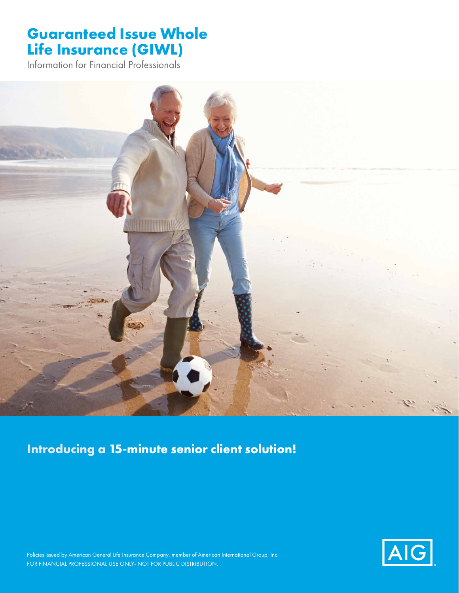# **Guaranteed Issue Whole Life Insurance (GIWL)**

Information for Financial Professionals



## **Introducing a 15-minute senior client solution!**

Policies issued by American General Life Insurance Company, member of American International Group, Inc. FOR FINANCIAL PROFESSIONAL USE ONLY- NOT FOR PUBLIC DISTRIBUTION.

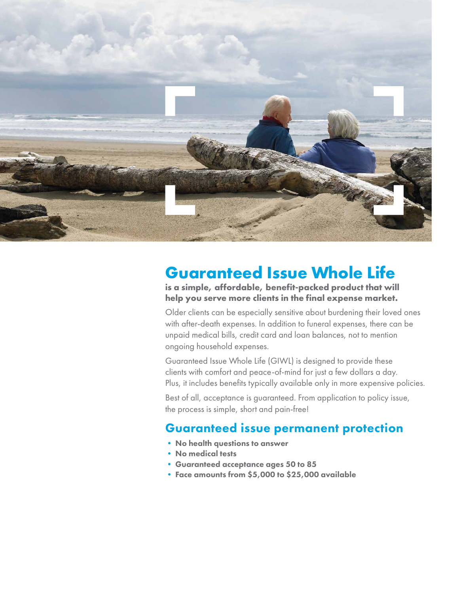

# **Guaranteed Issue Whole Life**

**is a simple, affordable, benefit-packed product that will help you serve more clients in the final expense market.** 

Older clients can be especially sensitive about burdening their loved ones with after-death expenses. In addition to funeral expenses, there can be unpaid medical bills, credit card and loan balances, not to mention ongoing household expenses.

Guaranteed Issue Whole Life (GIWL) is designed to provide these clients with comfort and peace-of-mind for just a few dollars a day. Plus, it includes benefits typically available only in more expensive policies.

Best of all, acceptance is guaranteed. From application to policy issue, the process is simple, short and pain-free!

#### Guaranteed issue permanent protection

- No health questions to answer
- No medical tests
- Guaranteed acceptance ages 50 to 85
- Face amounts from \$5,000 to \$25,000 available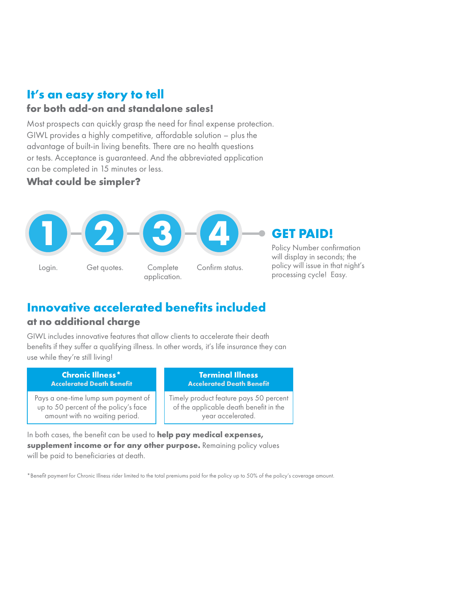### **It's an easy story to tell for both add-on and standalone sales!**

Most prospects can quickly grasp the need for final expense protection. GIWL provides a highly competitive, affordable solution – plus the advantage of built-in living benefits. There are no health questions or tests. Acceptance is guaranteed. And the abbreviated application can be completed in 15 minutes or less.

#### **What could be simpler?**



application.

**GET PAID!**

Policy Number confirmation will display in seconds; the policy will issue in that night's

## **Innovative accelerated benefits included**

#### **at no additional charge**

amount with no waiting period.

GIWL includes innovative features that allow clients to accelerate their death benefits if they suffer a qualifying illness. In other words, it's life insurance they can use while they're still living!

| <b>Chronic Illness*</b><br><b>Accelerated Death Benefit</b>                  | Terminal Illness<br><b>Accelerated Death Benefit</b>                             |
|------------------------------------------------------------------------------|----------------------------------------------------------------------------------|
| Pays a one-time lump sum payment of<br>up to 50 percent of the policy's face | Timely product feature pays 50 percent<br>of the applicable death benefit in the |

of the applicable death benefit in the year accelerated.

In both cases, the benefit can be used to **help pay medical expenses, supplement income or for any other purpose.** Remaining policy values will be paid to beneficiaries at death.

\*Benefit payment for Chronic Illness rider limited to the total premiums paid for the policy up to 50% of the policy's coverage amount.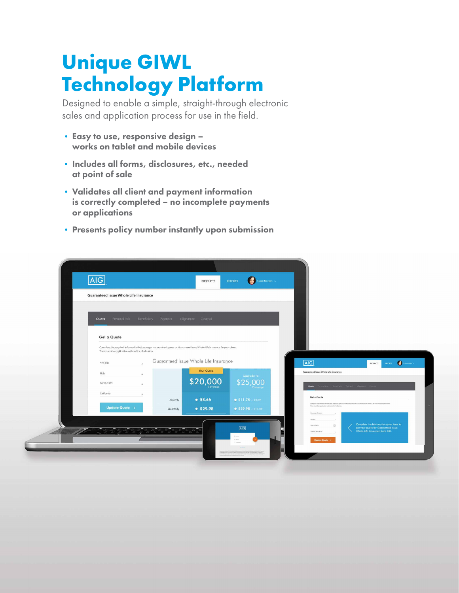# **Unique GIWL Technology Platform**

Designed to enable a simple, straight-through electronic sales and application process for use in the field.

- Easy to use, responsive design works on tablet and mobile devices
- Includes all forms, disclosures, etc., needed at point of sale
- Validates all client and payment information is correctly completed – no incomplete payments or applications
- Presents policy number instantly upon submission

| Guaranteed Issue Whole Life Insurance                |                                                                                                                             |                            |                                                                                                                                                                                                   |
|------------------------------------------------------|-----------------------------------------------------------------------------------------------------------------------------|----------------------------|---------------------------------------------------------------------------------------------------------------------------------------------------------------------------------------------------|
|                                                      |                                                                                                                             |                            |                                                                                                                                                                                                   |
| Quote                                                | Personal Info Beneficiary Payment eSignature Covered                                                                        |                            |                                                                                                                                                                                                   |
| Get a Quote                                          |                                                                                                                             |                            |                                                                                                                                                                                                   |
| Then start the application with a click of a button. | Complete the required information below to get a customized quote on Guaranteed Issue Whole Life Insurance for your client. |                            |                                                                                                                                                                                                   |
| \$20,000<br>$\alpha$                                 | Guaranteed Issue Whole Life Insurance                                                                                       |                            | A G <br>$\label{eq:1} \text{arccos} = \bigoplus_{i=1}^n \text{smocos}(\mathbb{R}^d).$<br>PRODUCTS                                                                                                 |
| Male<br>a.                                           | Your Quote                                                                                                                  | Upgrade for                | Guaranteed Issue Whole Life Insurance                                                                                                                                                             |
| 06/15/1952<br>$\geq$<br>California                   | \$20,000                                                                                                                    | Coverage                   | Quote factorailada. Bernikany Psychott eligentos Concerto                                                                                                                                         |
| $\sim$                                               | 658.66<br>Monthly                                                                                                           | $\bullet$ \$11.75 + \$3.09 | Get a Quote<br>Complete the required reformation balow to get a contensiond quete on Guaranteed hase Whole Life insurance for your client.<br>Then start the application with a club of a button. |
| <b>Update Quote</b> >                                | \$29.98<br>Quarterly                                                                                                        | $$29.98 + $17.02$          | County Amount<br>$\mathcal{L}$                                                                                                                                                                    |
|                                                      |                                                                                                                             | AIG                        | Gender<br>- 20<br>Complete the information given here to<br>$\Box$<br>Date of Stefa<br>get your quote for Guaranteed Issue                                                                        |
|                                                      |                                                                                                                             | $1 -$                      | Whole Life Insurance from AIG.<br>State of Residence                                                                                                                                              |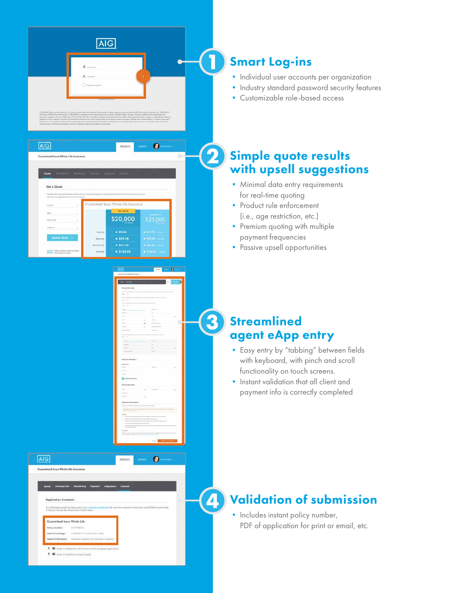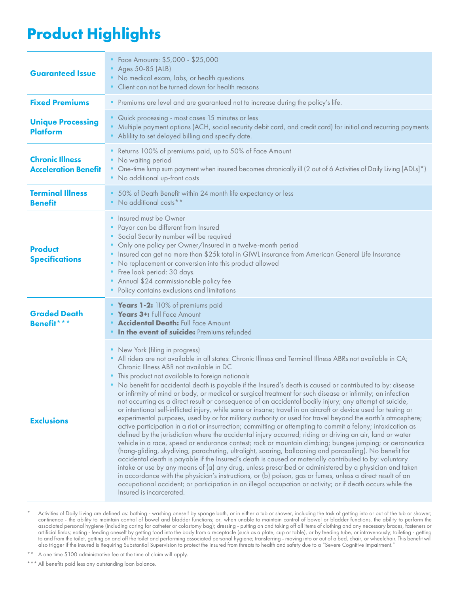# **Product Highlights**

| <b>Guaranteed Issue</b>                               | Face Amounts: \$5,000 - \$25,000<br>• Ages 50-85 (ALB)<br>• No medical exam, labs, or health questions<br>• Client can not be turned down for health reasons                                                                                                                                                                                                                                                                                                                                                                                                                                                                                                                                                                                                                                                                                                                                                                                                                                                                                                                                                                                                                                                                                                                                                                                                                                                                                                                                                                                                                                                                                                                                                                                              |  |  |  |
|-------------------------------------------------------|-----------------------------------------------------------------------------------------------------------------------------------------------------------------------------------------------------------------------------------------------------------------------------------------------------------------------------------------------------------------------------------------------------------------------------------------------------------------------------------------------------------------------------------------------------------------------------------------------------------------------------------------------------------------------------------------------------------------------------------------------------------------------------------------------------------------------------------------------------------------------------------------------------------------------------------------------------------------------------------------------------------------------------------------------------------------------------------------------------------------------------------------------------------------------------------------------------------------------------------------------------------------------------------------------------------------------------------------------------------------------------------------------------------------------------------------------------------------------------------------------------------------------------------------------------------------------------------------------------------------------------------------------------------------------------------------------------------------------------------------------------------|--|--|--|
| <b>Fixed Premiums</b>                                 | • Premiums are level and are guaranteed not to increase during the policy's life.                                                                                                                                                                                                                                                                                                                                                                                                                                                                                                                                                                                                                                                                                                                                                                                                                                                                                                                                                                                                                                                                                                                                                                                                                                                                                                                                                                                                                                                                                                                                                                                                                                                                         |  |  |  |
| <b>Unique Processing</b><br><b>Platform</b>           | • Quick processing - most cases 15 minutes or less<br>Multiple payment options (ACH, social security debit card, and credit card) for initial and recurring payments<br>• Ablility to set delayed billing and specify date.                                                                                                                                                                                                                                                                                                                                                                                                                                                                                                                                                                                                                                                                                                                                                                                                                                                                                                                                                                                                                                                                                                                                                                                                                                                                                                                                                                                                                                                                                                                               |  |  |  |
| <b>Chronic Illness</b><br><b>Acceleration Benefit</b> | Returns 100% of premiums paid, up to 50% of Face Amount<br>No waiting period<br>One-time lump sum payment when insured becomes chronically ill (2 out of 6 Activities of Daily Living [ADLs]*)<br>• No additional up-front costs                                                                                                                                                                                                                                                                                                                                                                                                                                                                                                                                                                                                                                                                                                                                                                                                                                                                                                                                                                                                                                                                                                                                                                                                                                                                                                                                                                                                                                                                                                                          |  |  |  |
| <b>Terminal Illness</b><br><b>Benefit</b>             | • 50% of Death Benefit within 24 month life expectancy or less<br>• No additional costs**                                                                                                                                                                                                                                                                                                                                                                                                                                                                                                                                                                                                                                                                                                                                                                                                                                                                                                                                                                                                                                                                                                                                                                                                                                                                                                                                                                                                                                                                                                                                                                                                                                                                 |  |  |  |
| <b>Product</b><br><b>Specifications</b>               | • Insured must be Owner<br>Payor can be different from Insured<br>• Social Security number will be required<br>Only one policy per Owner/Insured in a twelve-month period<br>Insured can get no more than \$25k total in GIWL insurance from American General Life Insurance<br>$\bullet$<br>No replacement or conversion into this product allowed<br>Free look period: 30 days.<br>Annual \$24 commissionable policy fee<br>Policy contains exclusions and limitations                                                                                                                                                                                                                                                                                                                                                                                                                                                                                                                                                                                                                                                                                                                                                                                                                                                                                                                                                                                                                                                                                                                                                                                                                                                                                  |  |  |  |
| <b>Graded Death</b><br>Benefit***                     | • Years 1-2: 110% of premiums paid<br>Years 3+: Full Face Amount<br><b>• Accidental Death: Full Face Amount</b><br>. In the event of suicide: Premiums refunded                                                                                                                                                                                                                                                                                                                                                                                                                                                                                                                                                                                                                                                                                                                                                                                                                                                                                                                                                                                                                                                                                                                                                                                                                                                                                                                                                                                                                                                                                                                                                                                           |  |  |  |
| <b>Exclusions</b>                                     | • New York (filing in progress)<br>• All riders are not available in all states: Chronic Illness and Terminal Illness ABRs not available in CA;<br>Chronic Illness ABR not available in DC<br>• This product not available to foreign nationals<br>• No benefit for accidental death is payable if the Insured's death is caused or contributed to by: disease<br>or infirmity of mind or body, or medical or surgical treatment for such disease or infirmity; an infection<br>not occurring as a direct result or consequence of an accidental bodily injury; any attempt at suicide,<br>or intentional self-inflicted injury, while sane or insane; travel in an aircraft or device used for testing or<br>experimental purposes, used by or for military authority or used for travel beyond the earth's atmosphere;<br>active participation in a riot or insurrection; committing or attempting to commit a felony; intoxication as<br>defined by the jurisdiction where the accidental injury occurred; riding or driving an air, land or water<br>vehicle in a race, speed or endurance contest; rock or mountain climbing; bungee jumping; or aeronautics<br>(hang-gliding, skydiving, parachuting, ultralight, soaring, ballooning and parasailing). No benefit for<br>accidental death is payable if the Insured's death is caused or materially contributed to by: voluntary<br>intake or use by any means of (a) any drug, unless prescribed or administered by a physician and taken<br>in accordance with the physician's instructions, or (b) poison, gas or fumes, unless a direct result of an<br>occupational accident; or participation in an illegal occupation or activity; or if death occurs while the<br>Insured is incarcerated. |  |  |  |

\* Activities of Daily Living are defined as: bathing - washing oneself by sponge bath, or in either a tub or shower, including the task of getting into or out of the tub or shower; continence - the ability to maintain control of bowel and bladder functions; or, when unable to maintain control of bowel or bladder functions, the ability to perform the associated personal hygiene (including caring for catheter or colostomy bag); dressing - putting on and taking off all items of clothing and any necessary braces, fasteners or artificial limbs; eating - feeding oneself by getting food into the body from a receptacle (such as a plate, cup or table), or by feeding tube, or intravenously; toileting - getting to and from the toilet, getting on and off the toilet and performing associated personal hygiene; transferring - moving into or out of a bed, chair, or wheelchair. This benefit will also trigger if the insured is Requiring Substantial Supervision to protect the Insured from threats to health and safety due to a "Severe Cognitive Impairment."

\*\* A one time \$100 administrative fee at the time of claim will apply.

\*\*\* All benefits paid less any outstanding loan balance.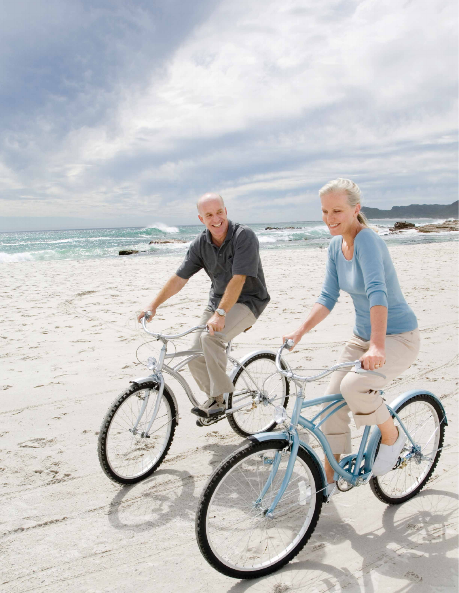